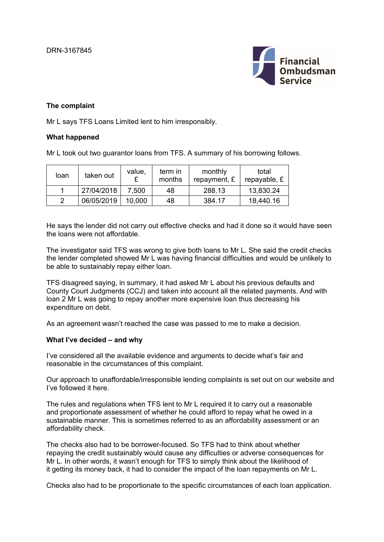

### **The complaint**

Mr L says TFS Loans Limited lent to him irresponsibly.

### **What happened**

Mr L took out two guarantor loans from TFS. A summary of his borrowing follows.

| loan | taken out  | value, | term in<br>months | monthly<br>repayment, £ | total<br>repayable, £ |
|------|------------|--------|-------------------|-------------------------|-----------------------|
|      | 27/04/2018 | 7.500  | 48                | 288.13                  | 13,830.24             |
|      | 06/05/2019 | 10.000 | 48                | 384.17                  | 18,440.16             |

He says the lender did not carry out effective checks and had it done so it would have seen the loans were not affordable.

The investigator said TFS was wrong to give both loans to Mr L. She said the credit checks the lender completed showed Mr L was having financial difficulties and would be unlikely to be able to sustainably repay either loan.

TFS disagreed saying, in summary, it had asked Mr L about his previous defaults and County Court Judgments (CCJ) and taken into account all the related payments. And with loan 2 Mr L was going to repay another more expensive loan thus decreasing his expenditure on debt.

As an agreement wasn't reached the case was passed to me to make a decision.

### **What I've decided – and why**

I've considered all the available evidence and arguments to decide what's fair and reasonable in the circumstances of this complaint.

Our approach to unaffordable/irresponsible lending complaints is set out on our website and I've followed it here.

The rules and regulations when TFS lent to Mr L required it to carry out a reasonable and proportionate assessment of whether he could afford to repay what he owed in a sustainable manner. This is sometimes referred to as an affordability assessment or an affordability check.

The checks also had to be borrower-focused. So TFS had to think about whether repaying the credit sustainably would cause any difficulties or adverse consequences for Mr L. In other words, it wasn't enough for TFS to simply think about the likelihood of it getting its money back, it had to consider the impact of the loan repayments on Mr L.

Checks also had to be proportionate to the specific circumstances of each loan application.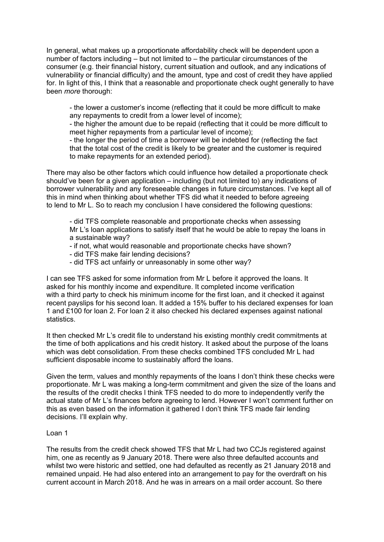In general, what makes up a proportionate affordability check will be dependent upon a number of factors including – but not limited to – the particular circumstances of the consumer (e.g. their financial history, current situation and outlook, and any indications of vulnerability or financial difficulty) and the amount, type and cost of credit they have applied for. In light of this, I think that a reasonable and proportionate check ought generally to have been *more* thorough:

- the lower a customer's income (reflecting that it could be more difficult to make any repayments to credit from a lower level of income);

- the higher the amount due to be repaid (reflecting that it could be more difficult to meet higher repayments from a particular level of income);

- the longer the period of time a borrower will be indebted for (reflecting the fact that the total cost of the credit is likely to be greater and the customer is required to make repayments for an extended period).

There may also be other factors which could influence how detailed a proportionate check should've been for a given application – including (but not limited to) any indications of borrower vulnerability and any foreseeable changes in future circumstances. I've kept all of this in mind when thinking about whether TFS did what it needed to before agreeing to lend to Mr L. So to reach my conclusion I have considered the following questions:

- did TFS complete reasonable and proportionate checks when assessing Mr L's loan applications to satisfy itself that he would be able to repay the loans in a sustainable way?

- if not, what would reasonable and proportionate checks have shown?
- did TFS make fair lending decisions?
- did TFS act unfairly or unreasonably in some other way?

I can see TFS asked for some information from Mr L before it approved the loans. It asked for his monthly income and expenditure. It completed income verification with a third party to check his minimum income for the first loan, and it checked it against recent payslips for his second loan. It added a 15% buffer to his declared expenses for loan 1 and £100 for loan 2. For loan 2 it also checked his declared expenses against national statistics.

It then checked Mr L's credit file to understand his existing monthly credit commitments at the time of both applications and his credit history. It asked about the purpose of the loans which was debt consolidation. From these checks combined TFS concluded Mr L had sufficient disposable income to sustainably afford the loans.

Given the term, values and monthly repayments of the loans I don't think these checks were proportionate. Mr L was making a long-term commitment and given the size of the loans and the results of the credit checks l think TFS needed to do more to independently verify the actual state of Mr L's finances before agreeing to lend. However I won't comment further on this as even based on the information it gathered I don't think TFS made fair lending decisions. I'll explain why.

### Loan 1

The results from the credit check showed TFS that Mr L had two CCJs registered against him, one as recently as 9 January 2018. There were also three defaulted accounts and whilst two were historic and settled, one had defaulted as recently as 21 January 2018 and remained unpaid. He had also entered into an arrangement to pay for the overdraft on his current account in March 2018. And he was in arrears on a mail order account. So there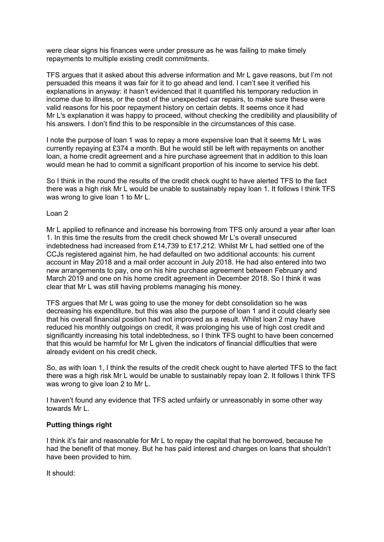were clear signs his finances were under pressure as he was failing to make timely repayments to multiple existing credit commitments.

TFS argues that it asked about this adverse information and Mr L gave reasons, but I'm not persuaded this means it was fair for it to go ahead and lend. I can't see it verified his explanations in anyway: it hasn't evidenced that it quantified his temporary reduction in income due to illness, or the cost of the unexpected car repairs, to make sure these were valid reasons for his poor repayment history on certain debts. It seems once it had Mr L's explanation it was happy to proceed, without checking the credibility and plausibility of his answers. I don't find this to be responsible in the circumstances of this case.

I note the purpose of loan 1 was to repay a more expensive loan that it seems Mr L was currently repaying at £374 a month. But he would still be left with repayments on another loan, a home credit agreement and a hire purchase agreement that in addition to this loan would mean he had to commit a significant proportion of his income to service his debt.

So I think in the round the results of the credit check ought to have alerted TFS to the fact there was a high risk Mr L would be unable to sustainably repay loan 1. It follows I think TFS was wrong to give loan 1 to Mr L.

### Loan 2

Mr L applied to refinance and increase his borrowing from TFS only around a year after loan 1. In this time the results from the credit check showed Mr L's overall unsecured indebtedness had increased from £14,739 to £17,212. Whilst Mr L had settled one of the CCJs registered against him, he had defaulted on two additional accounts: his current account in May 2018 and a mail order account in July 2018. He had also entered into two new arrangements to pay, one on his hire purchase agreement between February and March 2019 and one on his home credit agreement in December 2018. So I think it was clear that Mr L was still having problems managing his money.

TFS argues that Mr L was going to use the money for debt consolidation so he was decreasing his expenditure, but this was also the purpose of loan 1 and it could clearly see that his overall financial position had not improved as a result. Whilst loan 2 may have reduced his monthly outgoings on credit, it was prolonging his use of high cost credit and significantly increasing his total indebtedness, so I think TFS ought to have been concerned that this would be harmful for Mr L given the indicators of financial difficulties that were already evident on his credit check.

So, as with loan 1, I think the results of the credit check ought to have alerted TFS to the fact there was a high risk Mr L would be unable to sustainably repay loan 2. It follows I think TFS was wrong to give loan 2 to Mr L.

I haven't found any evidence that TFS acted unfairly or unreasonably in some other way towards Mr L.

# **Putting things right**

I think it's fair and reasonable for Mr L to repay the capital that he borrowed, because he had the benefit of that money. But he has paid interest and charges on loans that shouldn't have been provided to him.

It should: